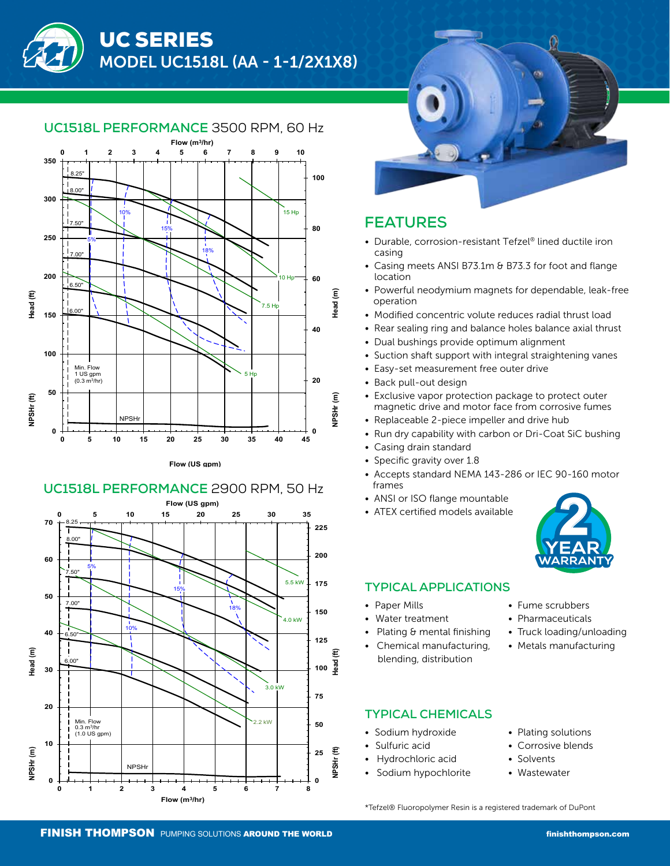

#### **UC1518L PERFORMANCE** 3500 RPM, 60 Hz







# **FEATURES**

- Durable, corrosion-resistant Tefzel® lined ductile iron casing
- Casing meets ANSI B73.1m & B73.3 for foot and flange location
- Powerful neodymium magnets for dependable, leak-free operation
- Modified concentric volute reduces radial thrust load
- Rear sealing ring and balance holes balance axial thrust
- Dual bushings provide optimum alignment
- Suction shaft support with integral straightening vanes
- Easy-set measurement free outer drive
- Back pull-out design
- Exclusive vapor protection package to protect outer magnetic drive and motor face from corrosive fumes
- Replaceable 2-piece impeller and drive hub
- Run dry capability with carbon or Dri-Coat SiC bushing
- Casing drain standard
- Specific gravity over 1.8
- Accepts standard NEMA 143-286 or IEC 90-160 motor frames
- ANSI or ISO flange mountable
- ATEX certified models available



#### **TYPICAL APPLICATIONS**

- Paper Mills
- Water treatment
- Plating & mental finishing
- Chemical manufacturing, blending, distribution
- Fume scrubbers
- Pharmaceuticals
- Truck loading/unloading
- Metals manufacturing

### **TYPICAL CHEMICALS**

- Sodium hydroxide
- Sulfuric acid
- Hydrochloric acid
- Sodium hypochlorite
- Plating solutions
- Corrosive blends
- Solvents
- Wastewater

\*Tefzel® Fluoropolymer Resin is a registered trademark of DuPont

# **UC1518L PERFORMANCE** 2900 RPM, 50 Hz